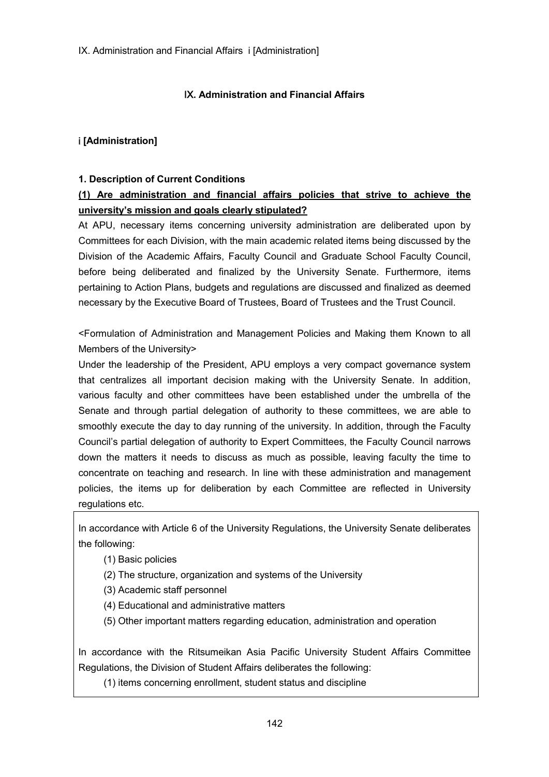## Ⅸ**. Administration and Financial Affairs**

# ⅰ **[Administration]**

#### **1. Description of Current Conditions**

# **(1) Are administration and financial affairs policies that strive to achieve the university's mission and goals clearly stipulated?**

At APU, necessary items concerning university administration are deliberated upon by Committees for each Division, with the main academic related items being discussed by the Division of the Academic Affairs, Faculty Council and Graduate School Faculty Council, before being deliberated and finalized by the University Senate. Furthermore, items pertaining to Action Plans, budgets and regulations are discussed and finalized as deemed necessary by the Executive Board of Trustees, Board of Trustees and the Trust Council.

<Formulation of Administration and Management Policies and Making them Known to all Members of the University>

Under the leadership of the President, APU employs a very compact governance system that centralizes all important decision making with the University Senate. In addition, various faculty and other committees have been established under the umbrella of the Senate and through partial delegation of authority to these committees, we are able to smoothly execute the day to day running of the university. In addition, through the Faculty Council's partial delegation of authority to Expert Committees, the Faculty Council narrows down the matters it needs to discuss as much as possible, leaving faculty the time to concentrate on teaching and research. In line with these administration and management policies, the items up for deliberation by each Committee are reflected in University regulations etc.

In accordance with Article 6 of the University Regulations, the University Senate deliberates the following:

- (1) Basic policies
- (2) The structure, organization and systems of the University
- (3) Academic staff personnel
- (4) Educational and administrative matters
- (5) Other important matters regarding education, administration and operation

In accordance with the Ritsumeikan Asia Pacific University Student Affairs Committee Regulations, the Division of Student Affairs deliberates the following:

(1) items concerning enrollment, student status and discipline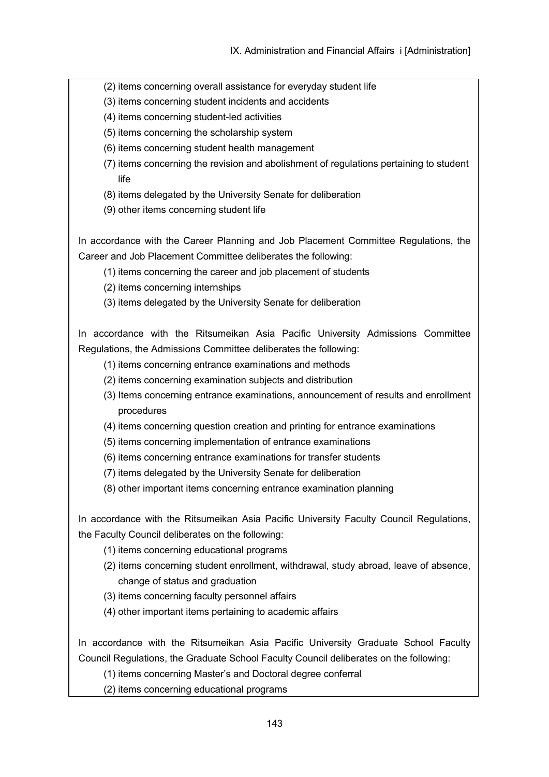- (2) items concerning overall assistance for everyday student life
- (3) items concerning student incidents and accidents
- (4) items concerning student-led activities
- (5) items concerning the scholarship system
- (6) items concerning student health management
- (7) items concerning the revision and abolishment of regulations pertaining to student life
- (8) items delegated by the University Senate for deliberation
- (9) other items concerning student life

In accordance with the Career Planning and Job Placement Committee Regulations, the Career and Job Placement Committee deliberates the following:

- (1) items concerning the career and job placement of students
- (2) items concerning internships
- (3) items delegated by the University Senate for deliberation

In accordance with the Ritsumeikan Asia Pacific University Admissions Committee Regulations, the Admissions Committee deliberates the following:

- (1) items concerning entrance examinations and methods
- (2) items concerning examination subjects and distribution
- (3) Items concerning entrance examinations, announcement of results and enrollment procedures
- (4) items concerning question creation and printing for entrance examinations
- (5) items concerning implementation of entrance examinations
- (6) items concerning entrance examinations for transfer students
- (7) items delegated by the University Senate for deliberation
- (8) other important items concerning entrance examination planning

In accordance with the Ritsumeikan Asia Pacific University Faculty Council Regulations, the Faculty Council deliberates on the following:

- (1) items concerning educational programs
- (2) items concerning student enrollment, withdrawal, study abroad, leave of absence, change of status and graduation
- (3) items concerning faculty personnel affairs
- (4) other important items pertaining to academic affairs

In accordance with the Ritsumeikan Asia Pacific University Graduate School Faculty Council Regulations, the Graduate School Faculty Council deliberates on the following:

- (1) items concerning Master's and Doctoral degree conferral
- (2) items concerning educational programs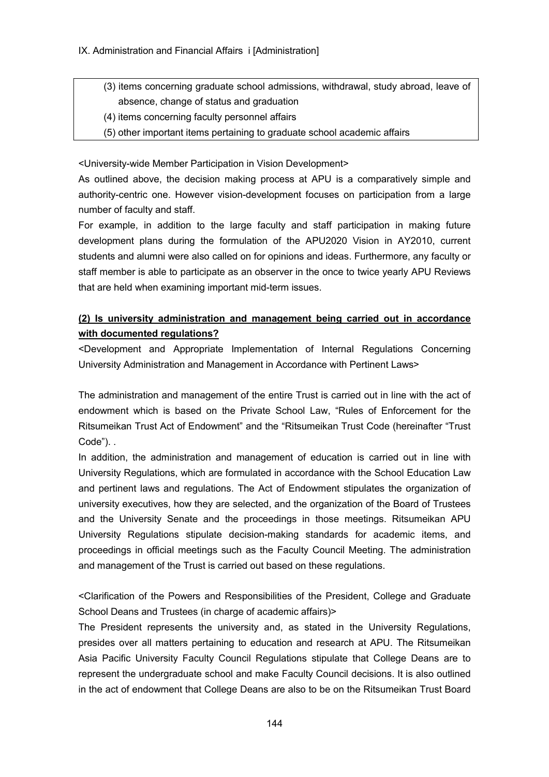- (3) items concerning graduate school admissions, withdrawal, study abroad, leave of absence, change of status and graduation
- (4) items concerning faculty personnel affairs
- (5) other important items pertaining to graduate school academic affairs

<University-wide Member Participation in Vision Development>

As outlined above, the decision making process at APU is a comparatively simple and authority-centric one. However vision-development focuses on participation from a large number of faculty and staff.

For example, in addition to the large faculty and staff participation in making future development plans during the formulation of the APU2020 Vision in AY2010, current students and alumni were also called on for opinions and ideas. Furthermore, any faculty or staff member is able to participate as an observer in the once to twice yearly APU Reviews that are held when examining important mid-term issues.

# **(2) Is university administration and management being carried out in accordance with documented regulations?**

<Development and Appropriate Implementation of Internal Regulations Concerning University Administration and Management in Accordance with Pertinent Laws>

The administration and management of the entire Trust is carried out in line with the act of endowment which is based on the Private School Law, "Rules of Enforcement for the Ritsumeikan Trust Act of Endowment" and the "Ritsumeikan Trust Code (hereinafter "Trust Code"). .

In addition, the administration and management of education is carried out in line with University Regulations, which are formulated in accordance with the School Education Law and pertinent laws and regulations. The Act of Endowment stipulates the organization of university executives, how they are selected, and the organization of the Board of Trustees and the University Senate and the proceedings in those meetings. Ritsumeikan APU University Regulations stipulate decision-making standards for academic items, and proceedings in official meetings such as the Faculty Council Meeting. The administration and management of the Trust is carried out based on these regulations.

<Clarification of the Powers and Responsibilities of the President, College and Graduate School Deans and Trustees (in charge of academic affairs) >

The President represents the university and, as stated in the University Regulations, presides over all matters pertaining to education and research at APU. The Ritsumeikan Asia Pacific University Faculty Council Regulations stipulate that College Deans are to represent the undergraduate school and make Faculty Council decisions. It is also outlined in the act of endowment that College Deans are also to be on the Ritsumeikan Trust Board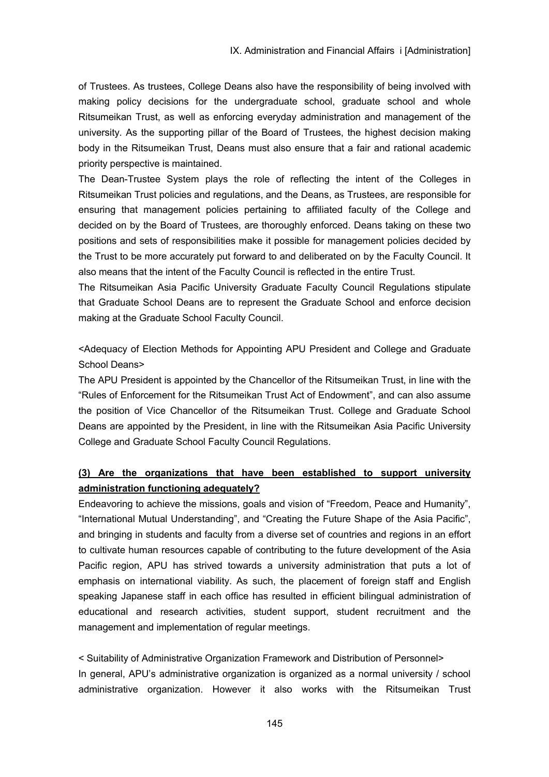of Trustees. As trustees, College Deans also have the responsibility of being involved with making policy decisions for the undergraduate school, graduate school and whole Ritsumeikan Trust, as well as enforcing everyday administration and management of the university. As the supporting pillar of the Board of Trustees, the highest decision making body in the Ritsumeikan Trust, Deans must also ensure that a fair and rational academic priority perspective is maintained.

The Dean-Trustee System plays the role of reflecting the intent of the Colleges in Ritsumeikan Trust policies and regulations, and the Deans, as Trustees, are responsible for ensuring that management policies pertaining to affiliated faculty of the College and decided on by the Board of Trustees, are thoroughly enforced. Deans taking on these two positions and sets of responsibilities make it possible for management policies decided by the Trust to be more accurately put forward to and deliberated on by the Faculty Council. It also means that the intent of the Faculty Council is reflected in the entire Trust.

The Ritsumeikan Asia Pacific University Graduate Faculty Council Regulations stipulate that Graduate School Deans are to represent the Graduate School and enforce decision making at the Graduate School Faculty Council.

<Adequacy of Election Methods for Appointing APU President and College and Graduate School Deans>

The APU President is appointed by the Chancellor of the Ritsumeikan Trust, in line with the "Rules of Enforcement for the Ritsumeikan Trust Act of Endowment", and can also assume the position of Vice Chancellor of the Ritsumeikan Trust. College and Graduate School Deans are appointed by the President, in line with the Ritsumeikan Asia Pacific University College and Graduate School Faculty Council Regulations.

# **(3) Are the organizations that have been established to support university administration functioning adequately?**

Endeavoring to achieve the missions, goals and vision of "Freedom, Peace and Humanity", "International Mutual Understanding", and "Creating the Future Shape of the Asia Pacific", and bringing in students and faculty from a diverse set of countries and regions in an effort to cultivate human resources capable of contributing to the future development of the Asia Pacific region, APU has strived towards a university administration that puts a lot of emphasis on international viability. As such, the placement of foreign staff and English speaking Japanese staff in each office has resulted in efficient bilingual administration of educational and research activities, student support, student recruitment and the management and implementation of regular meetings.

< Suitability of Administrative Organization Framework and Distribution of Personnel> In general, APU's administrative organization is organized as a normal university / school administrative organization. However it also works with the Ritsumeikan Trust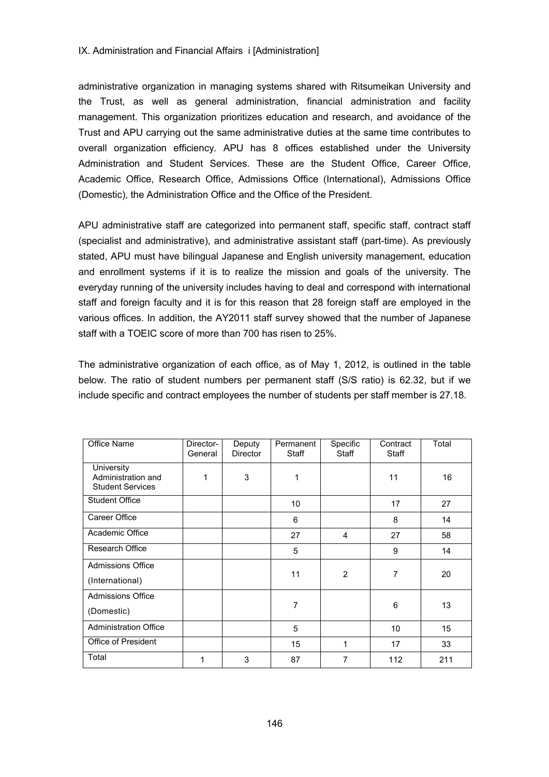#### IX. Administration and Financial Affairs *i* IAdministration1

administrative organization in managing systems shared with Ritsumeikan University and the Trust, as well as general administration, financial administration and facility management. This organization prioritizes education and research, and avoidance of the Trust and APU carrying out the same administrative duties at the same time contributes to overall organization efficiency. APU has 8 offices established under the University Administration and Student Services. These are the Student Office, Career Office, Academic Office, Research Office, Admissions Office (International), Admissions Office (Domestic), the Administration Office and the Office of the President.

APU administrative staff are categorized into permanent staff, specific staff, contract staff (specialist and administrative), and administrative assistant staff (part-time). As previously stated, APU must have bilingual Japanese and English university management, education and enrollment systems if it is to realize the mission and goals of the university. The everyday running of the university includes having to deal and correspond with international staff and foreign faculty and it is for this reason that 28 foreign staff are employed in the various offices. In addition, the AY2011 staff survey showed that the number of Japanese staff with a TOEIC score of more than 700 has risen to 25%.

The administrative organization of each office, as of May 1, 2012, is outlined in the table below. The ratio of student numbers per permanent staff (S/S ratio) is 62.32, but if we include specific and contract employees the number of students per staff member is 27.18.

| Office Name                                                 | Director-<br>General | Deputy<br>Director | Permanent<br>Staff | Specific<br>Staff | Contract<br>Staff | Total |
|-------------------------------------------------------------|----------------------|--------------------|--------------------|-------------------|-------------------|-------|
| University<br>Administration and<br><b>Student Services</b> | 1                    | 3                  | 1                  |                   | 11                | 16    |
| Student Office                                              |                      |                    | 10                 |                   | 17                | 27    |
| Career Office                                               |                      |                    | 6                  |                   | 8                 | 14    |
| Academic Office                                             |                      |                    | 27                 | 4                 | 27                | 58    |
| Research Office                                             |                      |                    | 5                  |                   | 9                 | 14    |
| <b>Admissions Office</b><br>(International)                 |                      |                    | 11                 | $\overline{2}$    | 7                 | 20    |
| <b>Admissions Office</b><br>(Domestic)                      |                      |                    | 7                  |                   | 6                 | 13    |
| <b>Administration Office</b>                                |                      |                    | 5                  |                   | 10                | 15    |
| <b>Office of President</b>                                  |                      |                    | 15                 | 1                 | 17                | 33    |
| Total                                                       | 1                    | 3                  | 87                 | 7                 | 112               | 211   |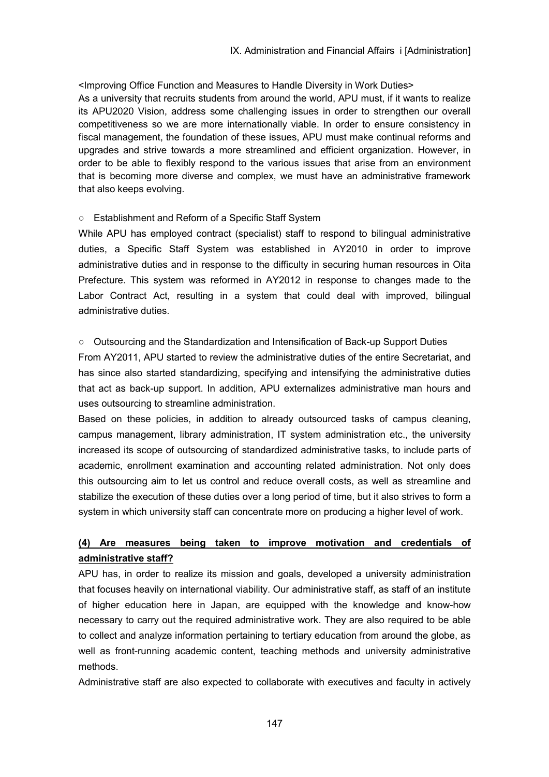<Improving Office Function and Measures to Handle Diversity in Work Duties> As a university that recruits students from around the world, APU must, if it wants to realize its APU2020 Vision, address some challenging issues in order to strengthen our overall competitiveness so we are more internationally viable. In order to ensure consistency in fiscal management, the foundation of these issues, APU must make continual reforms and upgrades and strive towards a more streamlined and efficient organization. However, in order to be able to flexibly respond to the various issues that arise from an environment that is becoming more diverse and complex, we must have an administrative framework that also keeps evolving.

### ○ Establishment and Reform of a Specific Staff System

While APU has employed contract (specialist) staff to respond to bilingual administrative duties, a Specific Staff System was established in AY2010 in order to improve administrative duties and in response to the difficulty in securing human resources in Oita Prefecture. This system was reformed in AY2012 in response to changes made to the Labor Contract Act, resulting in a system that could deal with improved, bilingual administrative duties.

### ○ Outsourcing and the Standardization and Intensification of Back-up Support Duties

From AY2011, APU started to review the administrative duties of the entire Secretariat, and has since also started standardizing, specifying and intensifying the administrative duties that act as back-up support. In addition, APU externalizes administrative man hours and uses outsourcing to streamline administration.

Based on these policies, in addition to already outsourced tasks of campus cleaning, campus management, library administration, IT system administration etc., the university increased its scope of outsourcing of standardized administrative tasks, to include parts of academic, enrollment examination and accounting related administration. Not only does this outsourcing aim to let us control and reduce overall costs, as well as streamline and stabilize the execution of these duties over a long period of time, but it also strives to form a system in which university staff can concentrate more on producing a higher level of work.

# **(4) Are measures being taken to improve motivation and credentials of administrative staff?**

APU has, in order to realize its mission and goals, developed a university administration that focuses heavily on international viability. Our administrative staff, as staff of an institute of higher education here in Japan, are equipped with the knowledge and know-how necessary to carry out the required administrative work. They are also required to be able to collect and analyze information pertaining to tertiary education from around the globe, as well as front-running academic content, teaching methods and university administrative methods.

Administrative staff are also expected to collaborate with executives and faculty in actively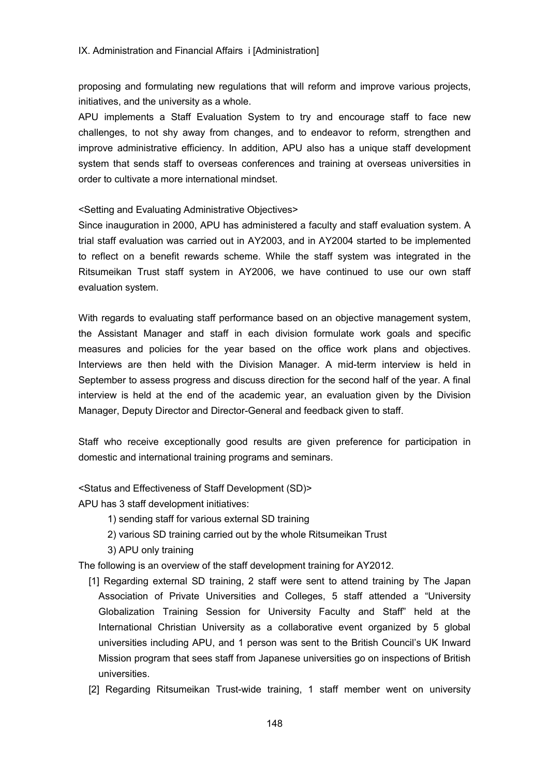proposing and formulating new regulations that will reform and improve various projects, initiatives, and the university as a whole.

APU implements a Staff Evaluation System to try and encourage staff to face new challenges, to not shy away from changes, and to endeavor to reform, strengthen and improve administrative efficiency. In addition, APU also has a unique staff development system that sends staff to overseas conferences and training at overseas universities in order to cultivate a more international mindset.

#### <Setting and Evaluating Administrative Objectives>

Since inauguration in 2000, APU has administered a faculty and staff evaluation system. A trial staff evaluation was carried out in AY2003, and in AY2004 started to be implemented to reflect on a benefit rewards scheme. While the staff system was integrated in the Ritsumeikan Trust staff system in AY2006, we have continued to use our own staff evaluation system.

With regards to evaluating staff performance based on an objective management system, the Assistant Manager and staff in each division formulate work goals and specific measures and policies for the year based on the office work plans and objectives. Interviews are then held with the Division Manager. A mid-term interview is held in September to assess progress and discuss direction for the second half of the year. A final interview is held at the end of the academic year, an evaluation given by the Division Manager, Deputy Director and Director-General and feedback given to staff.

Staff who receive exceptionally good results are given preference for participation in domestic and international training programs and seminars.

<Status and Effectiveness of Staff Development (SD)>

APU has 3 staff development initiatives:

- 1) sending staff for various external SD training
- 2) various SD training carried out by the whole Ritsumeikan Trust
- 3) APU only training

The following is an overview of the staff development training for AY2012.

- [1] Regarding external SD training, 2 staff were sent to attend training by The Japan Association of Private Universities and Colleges, 5 staff attended a "University Globalization Training Session for University Faculty and Staff" held at the International Christian University as a collaborative event organized by 5 global universities including APU, and 1 person was sent to the British Council's UK Inward Mission program that sees staff from Japanese universities go on inspections of British universities.
- [2] Regarding Ritsumeikan Trust-wide training, 1 staff member went on university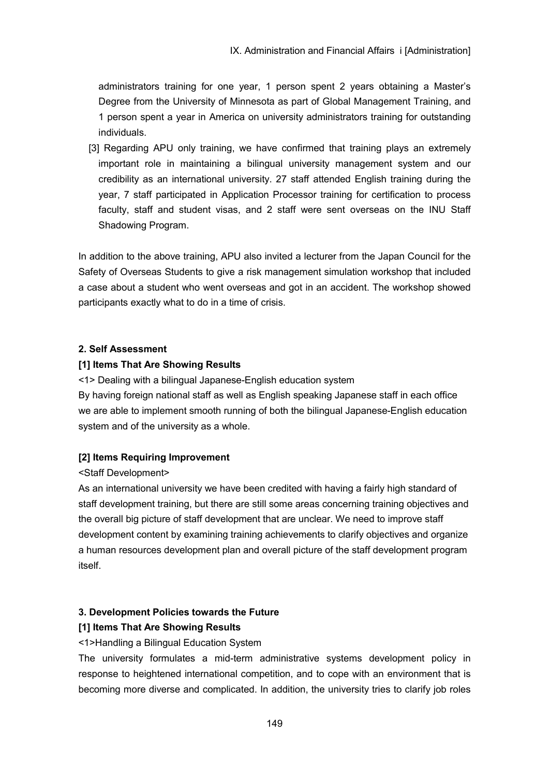administrators training for one year, 1 person spent 2 years obtaining a Master's Degree from the University of Minnesota as part of Global Management Training, and 1 person spent a year in America on university administrators training for outstanding individuals.

[3] Regarding APU only training, we have confirmed that training plays an extremely important role in maintaining a bilingual university management system and our credibility as an international university. 27 staff attended English training during the year, 7 staff participated in Application Processor training for certification to process faculty, staff and student visas, and 2 staff were sent overseas on the INU Staff Shadowing Program.

In addition to the above training, APU also invited a lecturer from the Japan Council for the Safety of Overseas Students to give a risk management simulation workshop that included a case about a student who went overseas and got in an accident. The workshop showed participants exactly what to do in a time of crisis.

### **2. Self Assessment**

### **[1] Items That Are Showing Results**

<1> Dealing with a bilingual Japanese-English education system By having foreign national staff as well as English speaking Japanese staff in each office we are able to implement smooth running of both the bilingual Japanese-English education system and of the university as a whole.

## **[2] Items Requiring Improvement**

## <Staff Development>

As an international university we have been credited with having a fairly high standard of staff development training, but there are still some areas concerning training objectives and the overall big picture of staff development that are unclear. We need to improve staff development content by examining training achievements to clarify objectives and organize a human resources development plan and overall picture of the staff development program itself.

## **3. Development Policies towards the Future**

## **[1] Items That Are Showing Results**

<1>Handling a Bilingual Education System

The university formulates a mid-term administrative systems development policy in response to heightened international competition, and to cope with an environment that is becoming more diverse and complicated. In addition, the university tries to clarify job roles